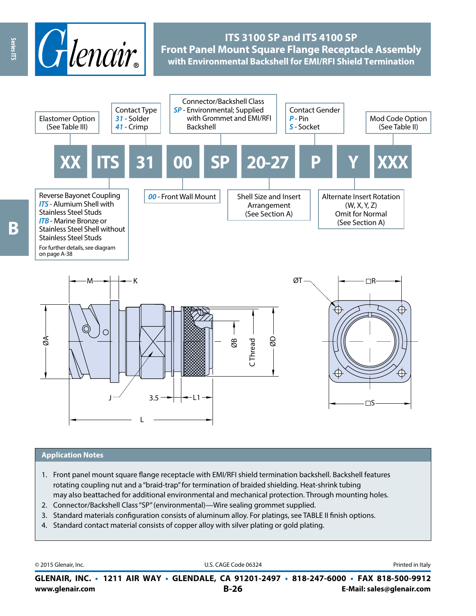

## **ITS 3100 SP and ITS 4100 SP Front Panel Mount Square Flange Receptacle Assembly with Environmental Backshell for EMI/RFI Shield Termination**



### **Application Notes**

- 1. Front panel mount square flange receptacle with EMI/RFI shield termination backshell. Backshell features rotating coupling nut and a "braid-trap" for termination of braided shielding. Heat-shrink tubing may also beattached for additional environmental and mechanical protection. Through mounting holes.
- 2. Connector/Backshell Class "SP" (environmental)—Wire sealing grommet supplied.
- 3. Standard materials configuration consists of aluminum alloy. For platings, see TABLE II finish options.
- 4. Standard contact material consists of copper alloy with silver plating or gold plating.

| © 2015 Glenair, Inc. | U.S. CAGE Code 06324                                                                     | Printed in Italy          |
|----------------------|------------------------------------------------------------------------------------------|---------------------------|
|                      | GLENAIR, INC. • 1211 AIR WAY • GLENDALE, CA 91201-2497 • 818-247-6000 • FAX 818-500-9912 |                           |
| www.glenair.com      | B-26                                                                                     | E-Mail: sales@glenair.com |

Series ITS